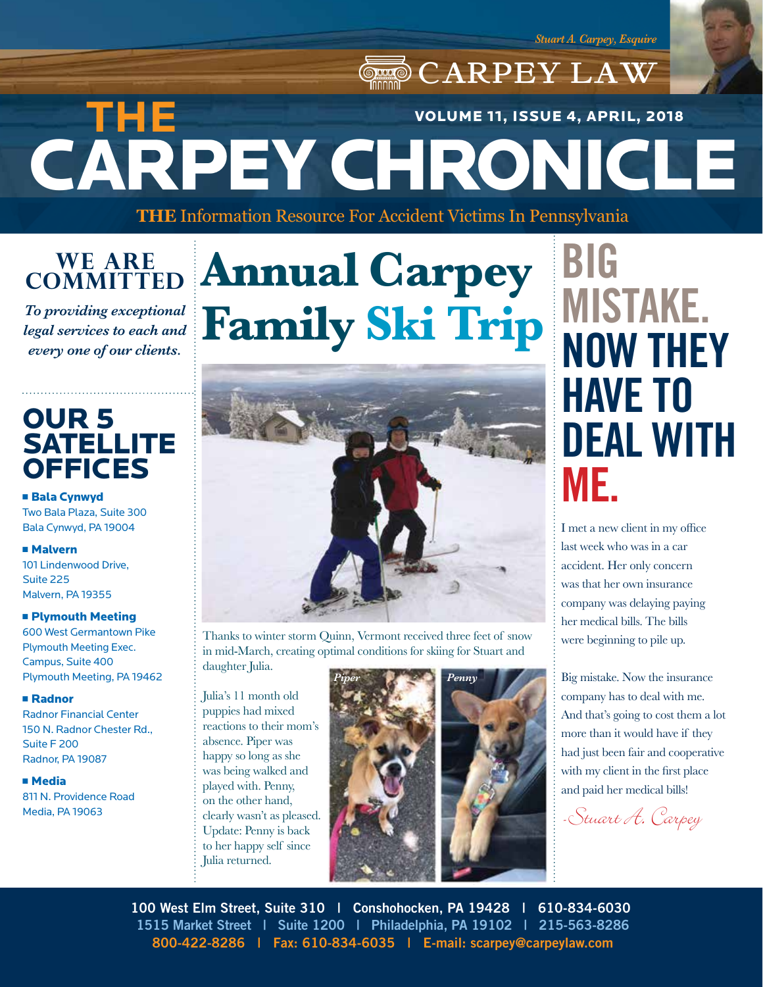## **ORD CARPEY LAW** CARPEY CHRONICLE **THE**  VOLUME 11, ISSUE 4, APRIL, 2018

**THE** Information Resource For Accident Victims In Pennsylvania

### **WE ARE COMMITTED**

*To providing exceptional legal services to each and every one of our clients.*

## OUR 5 **SATELLITE OFFICES**

**E** Bala Cynwyd Two Bala Plaza, Suite 300 Bala Cynwyd, PA 19004

#### <sup>n</sup> Malvern

101 Lindenwood Drive, Suite 225 Malvern, PA 19355

#### **E** Plymouth Meeting

600 West Germantown Pike Plymouth Meeting Exec. Campus, Suite 400 Plymouth Meeting, PA 19462

#### <sup>n</sup> Radnor

Radnor Financial Center 150 N. Radnor Chester Rd., Suite F 200 Radnor, PA 19087

#### <sup>n</sup> Media

811 N. Providence Road Media, PA 19063

# **Annual Carpey Family Ski Trip**



Thanks to winter storm Quinn, Vermont received three feet of snow in mid-March, creating optimal conditions for skiing for Stuart and daughter Julia.

Julia's 11 month old puppies had mixed reactions to their mom's absence. Piper was happy so long as she was being walked and played with. Penny, on the other hand, clearly wasn't as pleased. Update: Penny is back to her happy self since Julia returned.



# **BIG MISTAKE. NOW THEY HAVE TO DEAL WITH ME.**

I met a new client in my office last week who was in a car accident. Her only concern was that her own insurance company was delaying paying her medical bills. The bills were beginning to pile up.

Big mistake. Now the insurance company has to deal with me. And that's going to cost them a lot more than it would have if they had just been fair and cooperative with my client in the first place and paid her medical bills!

-Stuart A. Carpey

**100 West Elm Street, Suite 310 | Conshohocken, PA 19428 | 610-834-6030 1515 Market Street | Suite 1200 | Philadelphia, PA 19102 | 215-563-8286 800-422-8286 | Fax: 610-834-6035 | E-mail: scarpey@carpeylaw.com**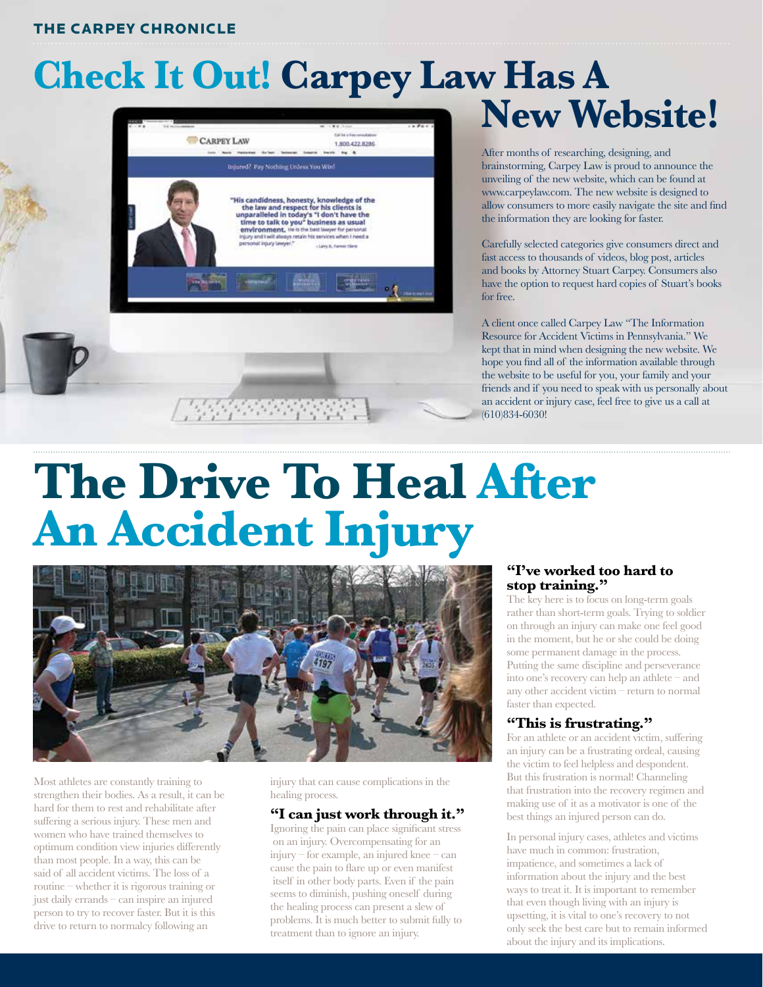#### THE CARPEY CHRONICLE

# Check It Out! Carpey Law Has A New Website!



#### After months of researching, designing, and brainstorming, Carpey Law is proud to announce the unveiling of the new website, which can be found at www.carpeylaw.com. The new website is designed to allow consumers to more easily navigate the site and find the information they are looking for faster.

Carefully selected categories give consumers direct and fast access to thousands of videos, blog post, articles and books by Attorney Stuart Carpey. Consumers also have the option to request hard copies of Stuart's books for free.

A client once called Carpey Law "The Information Resource for Accident Victims in Pennsylvania." We kept that in mind when designing the new website. We hope you find all of the information available through the website to be useful for you, your family and your friends and if you need to speak with us personally about an accident or injury case, feel free to give us a call at (610)834-6030!

# **The Drive To Heal After An Accident Injury**



Most athletes are constantly training to strengthen their bodies. As a result, it can be hard for them to rest and rehabilitate after suffering a serious injury. These men and women who have trained themselves to optimum condition view injuries differently than most people. In a way, this can be said of all accident victims. The loss of a routine – whether it is rigorous training or just daily errands – can inspire an injured person to try to recover faster. But it is this drive to return to normalcy following an

injury that can cause complications in the healing process.

#### **"I can just work through it."**

Ignoring the pain can place significant stress on an injury. Overcompensating for an injury – for example, an injured knee – can cause the pain to flare up or even manifest itself in other body parts. Even if the pain seems to diminish, pushing oneself during the healing process can present a slew of problems. It is much better to submit fully to treatment than to ignore an injury.

#### **"I've worked too hard to stop training."**

The key here is to focus on long-term goals rather than short-term goals. Trying to soldier on through an injury can make one feel good in the moment, but he or she could be doing some permanent damage in the process. Putting the same discipline and perseverance into one's recovery can help an athlete – and any other accident victim – return to normal faster than expected.

#### **"This is frustrating."**

For an athlete or an accident victim, suffering an injury can be a frustrating ordeal, causing the victim to feel helpless and despondent. But this frustration is normal! Channeling that frustration into the recovery regimen and making use of it as a motivator is one of the best things an injured person can do.

In personal injury cases, athletes and victims have much in common: frustration, impatience, and sometimes a lack of information about the injury and the best ways to treat it. It is important to remember that even though living with an injury is upsetting, it is vital to one's recovery to not only seek the best care but to remain informed about the injury and its implications.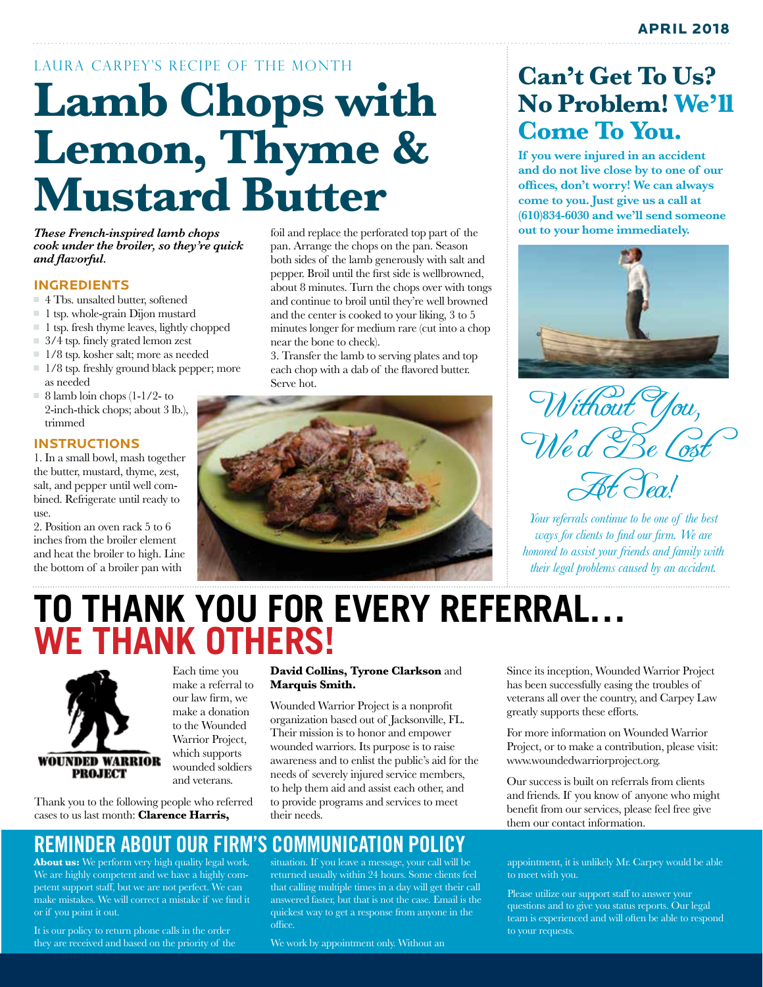# LAURA CARPEY'S RECIPE OF THE MONTH **Lamb Chops with Lemon, Thyme & Mustard Butter**

*These French-inspired lamb chops cook under the broiler, so they're quick and flavorful.*

#### **INGREDIENTS**

- $=$  4 Tbs. unsalted butter, softened
- $\blacksquare$  1 tsp. whole-grain Dijon mustard
- <sup>n</sup> 1 tsp. fresh thyme leaves, lightly chopped
- $\Box$  3/4 tsp. finely grated lemon zest
- <sup>n</sup> 1/8 tsp. kosher salt; more as needed
- $1/8$  tsp. freshly ground black pepper; more as needed
- $= 8$  lamb loin chops (1-1/2- to 2-inch-thick chops; about 3 lb.), trimmed

#### **INSTRUCTIONS**

1. In a small bowl, mash together the butter, mustard, thyme, zest, salt, and pepper until well combined. Refrigerate until ready to use.

2. Position an oven rack 5 to 6 inches from the broiler element and heat the broiler to high. Line the bottom of a broiler pan with

foil and replace the perforated top part of the pan. Arrange the chops on the pan. Season both sides of the lamb generously with salt and pepper. Broil until the first side is wellbrowned, about 8 minutes. Turn the chops over with tongs and continue to broil until they're well browned and the center is cooked to your liking, 3 to 5 minutes longer for medium rare (cut into a chop near the bone to check).

3. Transfer the lamb to serving plates and top each chop with a dab of the flavored butter. Serve hot.



## **Can't Get To Us? No Problem! We'll Come To You.**

**If you were injured in an accident and do not live close by to one of our offices, don't worry! We can always come to you. Just give us a call at (610)834-6030 and we'll send someone out to your home immediately.**



Without You, Wed Re. At Sea!

*Your referrals continue to be one of the best ways for clients to find our firm. We are honored to assist your friends and family with their legal problems caused by an accident.*

## **TO THANK YOU FOR EVERY REFERRAL… WE THANK OTHERS!**



Each time you make a referral to our law firm, we make a donation to the Wounded Warrior Project, which supports wounded soldiers and veterans.

Thank you to the following people who referred cases to us last month: **Clarence Harris,** 

#### **David Collins, Tyrone Clarkson** and **Marquis Smith.**

Wounded Warrior Project is a nonprofit organization based out of Jacksonville, FL. Their mission is to honor and empower wounded warriors. Its purpose is to raise awareness and to enlist the public's aid for the needs of severely injured service members, to help them aid and assist each other, and to provide programs and services to meet their needs.

## **REMINDER ABOUT OUR FIRM'S COMMUNICATION POLICY**

**About us:** We perform very high quality legal work. We are highly competent and we have a highly competent support staff, but we are not perfect. We can make mistakes. We will correct a mistake if we find it or if you point it out.

It is our policy to return phone calls in the order they are received and based on the priority of the

situation. If you leave a message, your call will be returned usually within 24 hours. Some clients feel that calling multiple times in a day will get their call answered faster, but that is not the case. Email is the quickest way to get a response from anyone in the office.

We work by appointment only. Without an

Since its inception, Wounded Warrior Project has been successfully easing the troubles of veterans all over the country, and Carpey Law greatly supports these efforts.

For more information on Wounded Warrior Project, or to make a contribution, please visit: www.woundedwarriorproject.org.

Our success is built on referrals from clients and friends. If you know of anyone who might benefit from our services, please feel free give them our contact information.

appointment, it is unlikely Mr. Carpey would be able to meet with you.

Please utilize our support staff to answer your questions and to give you status reports. Our legal team is experienced and will often be able to respond to your requests.